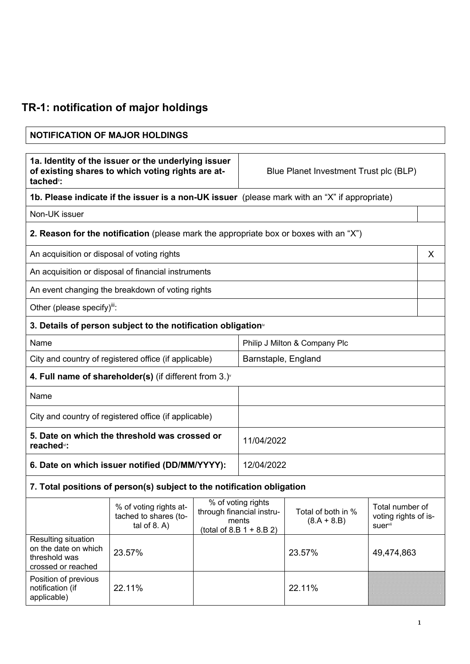## **TR-1: notification of major holdings**

## **NOTIFICATION OF MAJOR HOLDINGS 1a. Identity of the issuer or the underlying issuer of existing shares to which voting rights are attached**ii**:** Blue Planet Investment Trust plc (BLP) **1b. Please indicate if the issuer is a non-UK issuer** (please mark with an "X" if appropriate) Non-UK issuer **2. Reason for the notification** (please mark the appropriate box or boxes with an "X") An acquisition or disposal of voting rights  $\vert X \vert$ An acquisition or disposal of financial instruments An event changing the breakdown of voting rights Other (please specify) $iii$ : **3. Details of person subject to the notification obligation**iv Name Philip J Milton & Company Plc City and country of registered office (if applicable) | Barnstaple, England **4. Full name of shareholder(s)** (if different from 3.)v Name City and country of registered office (if applicable) **5. Date on which the threshold was crossed or reached**vi**:** 11/04/2022 **6. Date on which issuer notified (DD/MM/YYYY):** 12/04/2022 **7. Total positions of person(s) subject to the notification obligation**

|                                                                                    | % of voting rights at-<br>tached to shares (to-<br>tal of $8. A$ ) | % of voting rights<br>through financial instru-<br>ments<br>(total of 8.B $1 + 8.B 2$ ) | Total of both in %<br>$(8.A + 8.B)$ | Total number of<br>voting rights of is-<br>suer <sup>vii</sup> |
|------------------------------------------------------------------------------------|--------------------------------------------------------------------|-----------------------------------------------------------------------------------------|-------------------------------------|----------------------------------------------------------------|
| Resulting situation<br>on the date on which<br>threshold was<br>crossed or reached | 23.57%                                                             |                                                                                         | 23.57%                              | 49,474,863                                                     |
| Position of previous<br>notification (if<br>applicable)                            | 22.11%                                                             |                                                                                         | 22.11%                              |                                                                |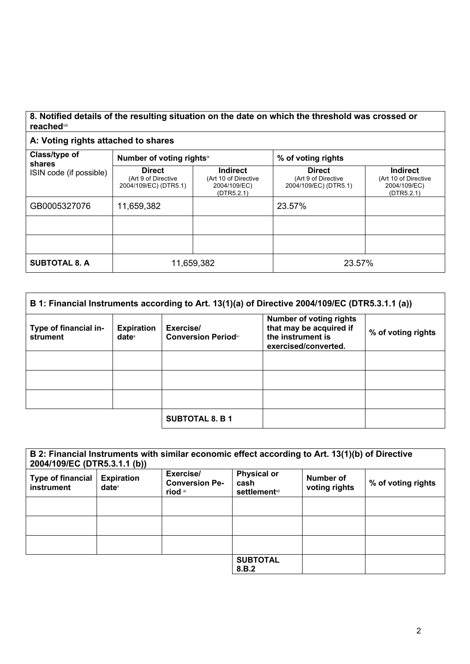## **8. Notified details of the resulting situation on the date on which the threshold was crossed or reached**viii

## **A: Voting rights attached to shares**

| Class/type of<br>shares | Number of voting rights <sup>ix</sup>                         |                                                                | % of voting rights                                            |                                                                       |
|-------------------------|---------------------------------------------------------------|----------------------------------------------------------------|---------------------------------------------------------------|-----------------------------------------------------------------------|
| ISIN code (if possible) | <b>Direct</b><br>(Art 9 of Directive<br>2004/109/EC) (DTR5.1) | Indirect<br>(Art 10 of Directive<br>2004/109/EC)<br>(DTR5.2.1) | <b>Direct</b><br>(Art 9 of Directive<br>2004/109/EC) (DTR5.1) | <b>Indirect</b><br>(Art 10 of Directive<br>2004/109/EC)<br>(DTR5.2.1) |
| GB0005327076            | 11,659,382                                                    |                                                                | 23.57%                                                        |                                                                       |
|                         |                                                               |                                                                |                                                               |                                                                       |
|                         |                                                               |                                                                |                                                               |                                                                       |
| <b>SUBTOTAL 8. A</b>    |                                                               | 11,659,382                                                     | 23.57%                                                        |                                                                       |

| B 1: Financial Instruments according to Art. 13(1)(a) of Directive 2004/109/EC (DTR5.3.1.1 (a)) |                                      |                                         |                                                                                                        |                    |
|-------------------------------------------------------------------------------------------------|--------------------------------------|-----------------------------------------|--------------------------------------------------------------------------------------------------------|--------------------|
| Type of financial in-<br>strument                                                               | <b>Expiration</b><br>$date^{\times}$ | Exercise/<br><b>Conversion Periodxi</b> | <b>Number of voting rights</b><br>that may be acquired if<br>the instrument is<br>exercised/converted. | % of voting rights |
|                                                                                                 |                                      |                                         |                                                                                                        |                    |
|                                                                                                 |                                      |                                         |                                                                                                        |                    |
|                                                                                                 |                                      |                                         |                                                                                                        |                    |
|                                                                                                 |                                      | <b>SUBTOTAL 8. B 1</b>                  |                                                                                                        |                    |

| 2004/109/EC (DTR5.3.1.1 (b))           |                                      | B 2: Financial Instruments with similar economic effect according to Art. 13(1)(b) of Directive |                                                     |                            |                    |
|----------------------------------------|--------------------------------------|-------------------------------------------------------------------------------------------------|-----------------------------------------------------|----------------------------|--------------------|
| <b>Type of financial</b><br>instrument | <b>Expiration</b><br>$date^{\times}$ | Exercise/<br><b>Conversion Pe-</b><br>riod xi                                                   | <b>Physical or</b><br>cash<br><b>settlement</b> xii | Number of<br>voting rights | % of voting rights |
|                                        |                                      |                                                                                                 |                                                     |                            |                    |
|                                        |                                      |                                                                                                 |                                                     |                            |                    |
|                                        |                                      |                                                                                                 |                                                     |                            |                    |
|                                        |                                      |                                                                                                 | <b>SUBTOTAL</b><br>8.B.2                            |                            |                    |